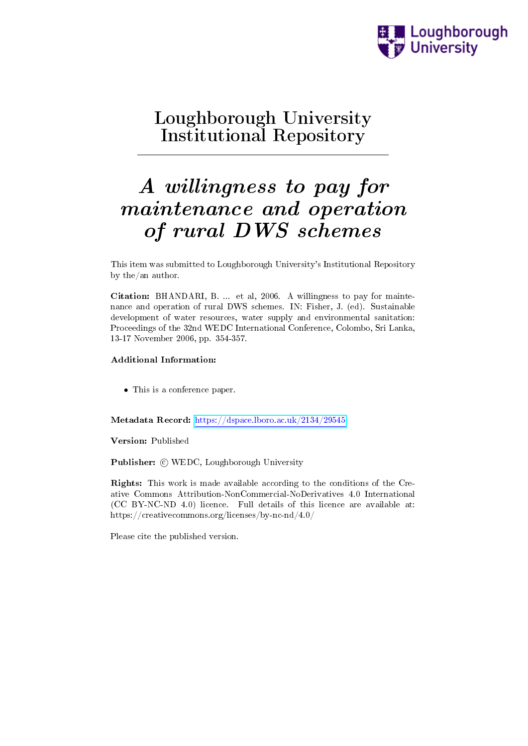

## Loughborough University Institutional Repository

# A willingness to pay for maintenance and operation of rural DWS schemes

This item was submitted to Loughborough University's Institutional Repository by the/an author.

Citation: BHANDARI, B. ... et al, 2006. A willingness to pay for maintenance and operation of rural DWS schemes. IN: Fisher, J. (ed). Sustainable development of water resources, water supply and environmental sanitation: Proceedings of the 32nd WEDC International Conference, Colombo, Sri Lanka, 13-17 November 2006, pp. 354-357.

#### Additional Information:

• This is a conference paper.

Metadata Record: <https://dspace.lboro.ac.uk/2134/29545>

Version: Published

Publisher: © WEDC, Loughborough University

Rights: This work is made available according to the conditions of the Creative Commons Attribution-NonCommercial-NoDerivatives 4.0 International (CC BY-NC-ND 4.0) licence. Full details of this licence are available at: https://creativecommons.org/licenses/by-nc-nd/4.0/

Please cite the published version.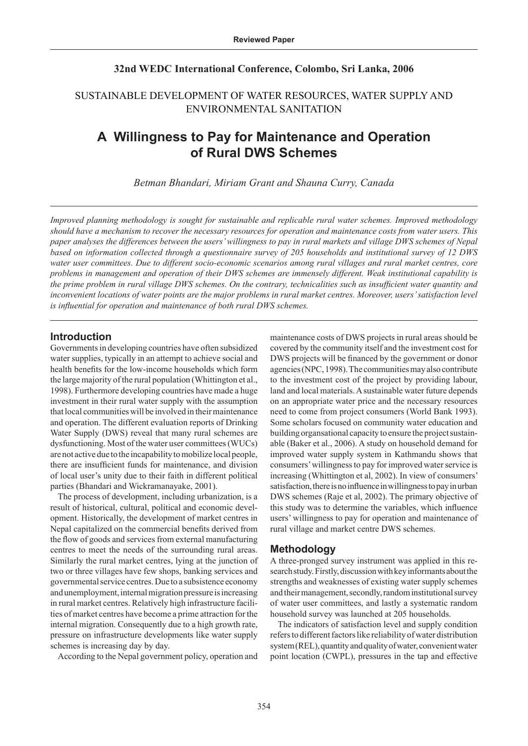#### **32nd WEDC International Conference, Colombo, Sri Lanka, 2006**

#### SUSTAINABLE DEVELOPMENT OF WATER RESOURCES, WATER SUPPLY AND ENVIRONMENTAL SANITATION

### **A Willingness to Pay for Maintenance and Operation of Rural DWS Schemes**

*Betman Bhandari, Miriam Grant and Shauna Curry, Canada*

*Improved planning methodology is sought for sustainable and replicable rural water schemes. Improved methodology should have a mechanism to recover the necessary resources for operation and maintenance costs from water users. This paper analyses the differences between the users' willingness to pay in rural markets and village DWS schemes of Nepal based on information collected through a questionnaire survey of 205 households and institutional survey of 12 DWS water user committees. Due to different socio-economic scenarios among rural villages and rural market centres, core problems in management and operation of their DWS schemes are immensely different. Weak institutional capability is the prime problem in rural village DWS schemes. On the contrary, technicalities such as insufficient water quantity and inconvenient locations of water points are the major problems in rural market centres. Moreover, users' satisfaction level is influential for operation and maintenance of both rural DWS schemes.*

#### **Introduction**

Governments in developing countries have often subsidized water supplies, typically in an attempt to achieve social and health benefits for the low-income households which form the large majority of the rural population (Whittington et al., 1998). Furthermore developing countries have made a huge investment in their rural water supply with the assumption that local communities will be involved in their maintenance and operation. The different evaluation reports of Drinking Water Supply (DWS) reveal that many rural schemes are dysfunctioning. Most of the water user committees (WUCs) are not active due to the incapability to mobilize local people, there are insufficient funds for maintenance, and division of local user's unity due to their faith in different political parties (Bhandari and Wickramanayake, 2001).

The process of development, including urbanization, is a result of historical, cultural, political and economic development. Historically, the development of market centres in Nepal capitalized on the commercial benefits derived from the flow of goods and services from external manufacturing centres to meet the needs of the surrounding rural areas. Similarly the rural market centres, lying at the junction of two or three villages have few shops, banking services and governmental service centres. Due to a subsistence economy and unemployment, internal migration pressure is increasing in rural market centres. Relatively high infrastructure facilities of market centres have become a prime attraction for the internal migration. Consequently due to a high growth rate, pressure on infrastructure developments like water supply schemes is increasing day by day.

According to the Nepal government policy, operation and

maintenance costs of DWS projects in rural areas should be covered by the community itself and the investment cost for DWS projects will be financed by the government or donor agencies (NPC, 1998). The communities may also contribute to the investment cost of the project by providing labour, land and local materials. A sustainable water future depends on an appropriate water price and the necessary resources need to come from project consumers (World Bank 1993). Some scholars focused on community water education and building organsational capacity to ensure the project sustainable (Baker et al., 2006). A study on household demand for improved water supply system in Kathmandu shows that consumers' willingness to pay for improved water service is increasing (Whittington et al, 2002). In view of consumers' satisfaction, there is no influence in willingness to pay in urban DWS schemes (Raje et al, 2002). The primary objective of this study was to determine the variables, which influence users' willingness to pay for operation and maintenance of rural village and market centre DWS schemes.

#### **Methodology**

A three-pronged survey instrument was applied in this research study. Firstly, discussion with key informants about the strengths and weaknesses of existing water supply schemes and their management, secondly, random institutional survey of water user committees, and lastly a systematic random household survey was launched at 205 households.

The indicators of satisfaction level and supply condition refers to different factors like reliability of water distribution system (REL), quantity and quality of water, convenient water point location (CWPL), pressures in the tap and effective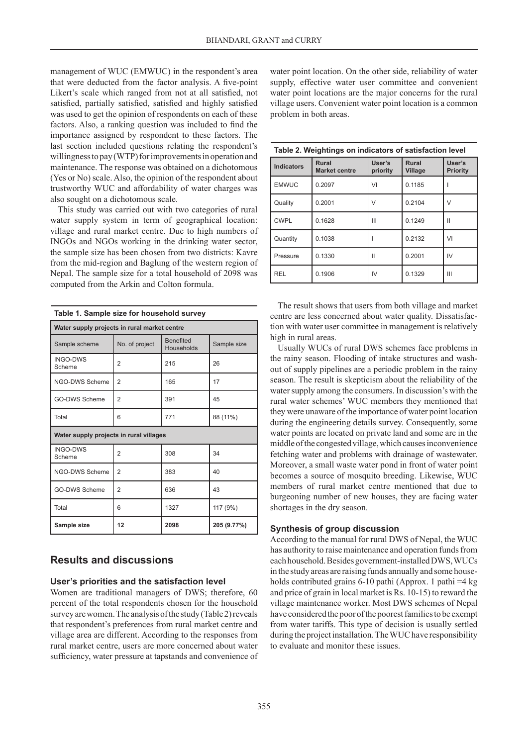management of WUC (EMWUC) in the respondent's area that were deducted from the factor analysis. A five-point Likert's scale which ranged from not at all satisfied, not satisfied, partially satisfied, satisfied and highly satisfied was used to get the opinion of respondents on each of these factors. Also, a ranking question was included to find the importance assigned by respondent to these factors. The last section included questions relating the respondent's willingness to pay (WTP) for improvements in operation and maintenance. The response was obtained on a dichotomous (Yes or No) scale. Also, the opinion of the respondent about trustworthy WUC and affordability of water charges was also sought on a dichotomous scale.

This study was carried out with two categories of rural water supply system in term of geographical location: village and rural market centre. Due to high numbers of INGOs and NGOs working in the drinking water sector, the sample size has been chosen from two districts: Kavre from the mid-region and Baglung of the western region of Nepal. The sample size for a total household of 2098 was computed from the Arkin and Colton formula.

| Water supply projects in rural market centre |                |                                |             |  |  |  |  |
|----------------------------------------------|----------------|--------------------------------|-------------|--|--|--|--|
| Sample scheme                                | No. of project | <b>Benefited</b><br>Households | Sample size |  |  |  |  |
| <b>INGO-DWS</b><br>Scheme                    | $\overline{2}$ | 215                            | 26          |  |  |  |  |
| NGO-DWS Scheme                               | 2              | 165                            | 17          |  |  |  |  |
| <b>GO-DWS Scheme</b>                         | $\overline{2}$ | 391                            | 45          |  |  |  |  |
| Total                                        | 6              | 771                            | 88 (11%)    |  |  |  |  |
| Water supply projects in rural villages      |                |                                |             |  |  |  |  |
| <b>INGO-DWS</b><br>Scheme                    | $\overline{2}$ | 308                            | 34          |  |  |  |  |
| NGO-DWS Scheme                               | $\overline{2}$ | 383                            | 40          |  |  |  |  |
| <b>GO-DWS Scheme</b>                         | $\overline{2}$ | 636                            | 43          |  |  |  |  |
| Total                                        | 6              | 1327                           | 117 (9%)    |  |  |  |  |
| Sample size                                  | 12             | 2098                           | 205 (9.77%) |  |  |  |  |

#### **Table 1. Sample size for household survey**

#### **Results and discussions**

#### **User's priorities and the satisfaction level**

Women are traditional managers of DWS; therefore, 60 percent of the total respondents chosen for the household survey are women. The analysis of the study (Table 2) reveals that respondent's preferences from rural market centre and village area are different. According to the responses from rural market centre, users are more concerned about water sufficiency, water pressure at tapstands and convenience of water point location. On the other side, reliability of water supply, effective water user committee and convenient water point locations are the major concerns for the rural village users. Convenient water point location is a common problem in both areas.

| Table 2. Weightings on indicators of satisfaction level |                                      |                    |                  |                    |  |  |  |  |
|---------------------------------------------------------|--------------------------------------|--------------------|------------------|--------------------|--|--|--|--|
| <b>Indicators</b>                                       | <b>Rural</b><br><b>Market centre</b> | User's<br>priority | Rural<br>Village | User's<br>Priority |  |  |  |  |
| <b>EMWUC</b>                                            | 0.2097                               | VI                 | 0.1185           |                    |  |  |  |  |
| Quality                                                 | 0.2001                               | V                  | 0.2104           | V                  |  |  |  |  |
| <b>CWPL</b>                                             | 0.1628                               | Ш                  | 0.1249           | Ш                  |  |  |  |  |
| Quantity                                                | 0.1038                               |                    | 0.2132           | VI                 |  |  |  |  |
| Pressure                                                | 0.1330                               | Ш                  | 0.2001           | IV                 |  |  |  |  |
| <b>REL</b>                                              | 0.1906                               | IV                 | 0.1329           | Ш                  |  |  |  |  |

The result shows that users from both village and market centre are less concerned about water quality. Dissatisfaction with water user committee in management is relatively high in rural areas.

Usually WUCs of rural DWS schemes face problems in the rainy season. Flooding of intake structures and washout of supply pipelines are a periodic problem in the rainy season. The result is skepticism about the reliability of the water supply among the consumers. In discussion's with the rural water schemes' WUC members they mentioned that they were unaware of the importance of water point location during the engineering details survey. Consequently, some water points are located on private land and some are in the middle of the congested village, which causes inconvenience fetching water and problems with drainage of wastewater. Moreover, a small waste water pond in front of water point becomes a source of mosquito breeding. Likewise, WUC members of rural market centre mentioned that due to burgeoning number of new houses, they are facing water shortages in the dry season.

#### **Synthesis of group discussion**

According to the manual for rural DWS of Nepal, the WUC has authority to raise maintenance and operation funds from each household. Besides government-installed DWS, WUCs in the study areas are raising funds annually and some households contributed grains 6-10 pathi (Approx. 1 pathi =4 kg and price of grain in local market is Rs. 10-15) to reward the village maintenance worker. Most DWS schemes of Nepal have considered the poor of the poorest families to be exempt from water tariffs. This type of decision is usually settled during the project installation. The WUC have responsibility to evaluate and monitor these issues.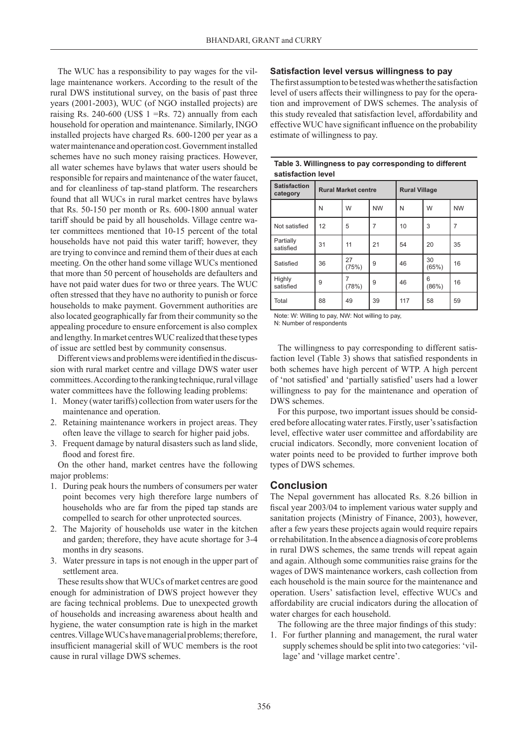The WUC has a responsibility to pay wages for the village maintenance workers. According to the result of the rural DWS institutional survey, on the basis of past three years (2001-2003), WUC (of NGO installed projects) are raising Rs. 240-600 (US\$  $1 = Rs$ , 72) annually from each household for operation and maintenance. Similarly, INGO installed projects have charged Rs. 600-1200 per year as a water maintenance and operation cost. Government installed schemes have no such money raising practices. However, all water schemes have bylaws that water users should be responsible for repairs and maintenance of the water faucet, and for cleanliness of tap-stand platform. The researchers found that all WUCs in rural market centres have bylaws that Rs. 50-150 per month or Rs. 600-1800 annual water tariff should be paid by all households. Village centre water committees mentioned that 10-15 percent of the total households have not paid this water tariff; however, they are trying to convince and remind them of their dues at each meeting. On the other hand some village WUCs mentioned that more than 50 percent of households are defaulters and have not paid water dues for two or three years. The WUC often stressed that they have no authority to punish or force households to make payment. Government authorities are also located geographically far from their community so the appealing procedure to ensure enforcement is also complex and lengthy. In market centres WUC realized that these types of issue are settled best by community consensus.

Different views and problems were identified in the discussion with rural market centre and village DWS water user committees. According to the ranking technique, rural village water committees have the following leading problems:

- 1. Money (water tariffs) collection from water users for the maintenance and operation.
- 2. Retaining maintenance workers in project areas. They often leave the village to search for higher paid jobs.
- 3. Frequent damage by natural disasters such as land slide, flood and forest fire.

On the other hand, market centres have the following major problems:

- 1. During peak hours the numbers of consumers per water point becomes very high therefore large numbers of households who are far from the piped tap stands are compelled to search for other unprotected sources.
- 2. The Majority of households use water in the kitchen and garden; therefore, they have acute shortage for 3-4 months in dry seasons.
- 3. Water pressure in taps is not enough in the upper part of settlement area.

These results show that WUCs of market centres are good enough for administration of DWS project however they are facing technical problems. Due to unexpected growth of households and increasing awareness about health and hygiene, the water consumption rate is high in the market centres. Village WUCs have managerial problems; therefore, insufficient managerial skill of WUC members is the root cause in rural village DWS schemes.

#### **Satisfaction level versus willingness to pay**

The first assumption to be tested was whether the satisfaction level of users affects their willingness to pay for the operation and improvement of DWS schemes. The analysis of this study revealed that satisfaction level, affordability and effective WUC have significant influence on the probability estimate of willingness to pay.

| aanalachon icvci                |                            |             |           |                      |             |           |  |  |  |
|---------------------------------|----------------------------|-------------|-----------|----------------------|-------------|-----------|--|--|--|
| <b>Satisfaction</b><br>category | <b>Rural Market centre</b> |             |           | <b>Rural Village</b> |             |           |  |  |  |
|                                 | N                          | W           | <b>NW</b> | N                    | W           | <b>NW</b> |  |  |  |
| Not satisfied                   | 12                         | 5           | 7         | 10                   | 3           | 7         |  |  |  |
| Partially<br>satisfied          | 31                         | 11          | 21        | 54                   | 20          | 35        |  |  |  |
| Satisfied                       | 36                         | 27<br>(75%) | 9         | 46                   | 30<br>(65%) | 16        |  |  |  |
| Highly<br>satisfied             | 9                          | (78%)       | 9         | 46                   | 6<br>(86%)  | 16        |  |  |  |
| Total                           | 88                         | 49          | 39        | 117                  | 58          | 59        |  |  |  |

#### **Table 3. Willingness to pay corresponding to different satisfaction level**

Note: W: Willing to pay, NW: Not willing to pay, N: Number of respondents

The willingness to pay corresponding to different satisfaction level (Table 3) shows that satisfied respondents in both schemes have high percent of WTP. A high percent of 'not satisfied' and 'partially satisfied' users had a lower willingness to pay for the maintenance and operation of DWS schemes.

For this purpose, two important issues should be considered before allocating water rates. Firstly, user's satisfaction level, effective water user committee and affordability are crucial indicators. Secondly, more convenient location of water points need to be provided to further improve both types of DWS schemes.

#### **Conclusion**

The Nepal government has allocated Rs. 8.26 billion in fiscal year 2003/04 to implement various water supply and sanitation projects (Ministry of Finance, 2003), however, after a few years these projects again would require repairs or rehabilitation. In the absence a diagnosis of core problems in rural DWS schemes, the same trends will repeat again and again. Although some communities raise grains for the wages of DWS maintenance workers, cash collection from each household is the main source for the maintenance and operation. Users' satisfaction level, effective WUCs and affordability are crucial indicators during the allocation of water charges for each household.

The following are the three major findings of this study:

1. For further planning and management, the rural water supply schemes should be split into two categories: 'village' and 'village market centre'.